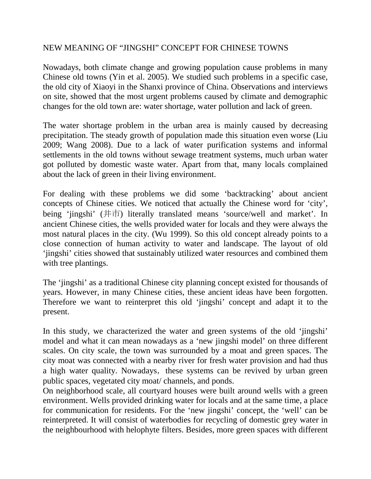## NEW MEANING OF "JINGSHI" CONCEPT FOR CHINESE TOWNS

Nowadays, both climate change and growing population cause problems in many Chinese old towns (Yin et al. 2005). We studied such problems in a specific case, the old city of Xiaoyi in the Shanxi province of China. Observations and interviews on site, showed that the most urgent problems caused by climate and demographic changes for the old town are: water shortage, water pollution and lack of green.

The water shortage problem in the urban area is mainly caused by decreasing precipitation. The steady growth of population made this situation even worse (Liu 2009; Wang 2008). Due to a lack of water purification systems and informal settlements in the old towns without sewage treatment systems, much urban water got polluted by domestic waste water. Apart from that, many locals complained about the lack of green in their living environment.

For dealing with these problems we did some 'backtracking' about ancient concepts of Chinese cities. We noticed that actually the Chinese word for 'city', being 'jingshi' (井市) literally translated means 'source/well and market'. In ancient Chinese cities, the wells provided water for locals and they were always the most natural places in the city. (Wu 1999). So this old concept already points to a close connection of human activity to water and landscape. The layout of old 'jingshi' cities showed that sustainably utilized water resources and combined them with tree plantings.

The 'jingshi' as a traditional Chinese city planning concept existed for thousands of years. However, in many Chinese cities, these ancient ideas have been forgotten. Therefore we want to reinterpret this old 'jingshi' concept and adapt it to the present.

In this study, we characterized the water and green systems of the old 'jingshi' model and what it can mean nowadays as a 'new jingshi model' on three different scales. On city scale, the town was surrounded by a moat and green spaces. The city moat was connected with a nearby river for fresh water provision and had thus a high water quality. Nowadays, these systems can be revived by urban green public spaces, vegetated city moat/ channels, and ponds.

On neighborhood scale, all courtyard houses were built around wells with a green environment. Wells provided drinking water for locals and at the same time, a place for communication for residents. For the 'new jingshi' concept, the 'well' can be reinterpreted. It will consist of waterbodies for recycling of domestic grey water in the neighbourhood with helophyte filters. Besides, more green spaces with different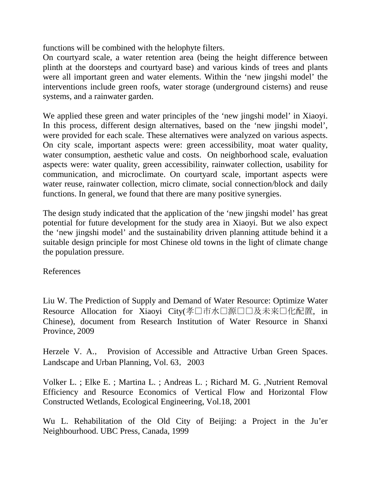functions will be combined with the helophyte filters.

On courtyard scale, a water retention area (being the height difference between plinth at the doorsteps and courtyard base) and various kinds of trees and plants were all important green and water elements. Within the 'new jingshi model' the interventions include green roofs, water storage (underground cisterns) and reuse systems, and a rainwater garden.

We applied these green and water principles of the 'new jingshi model' in Xiaoyi. In this process, different design alternatives, based on the 'new jingshi model', were provided for each scale. These alternatives were analyzed on various aspects. On city scale, important aspects were: green accessibility, moat water quality, water consumption, aesthetic value and costs. On neighborhood scale, evaluation aspects were: water quality, green accessibility, rainwater collection, usability for communication, and microclimate. On courtyard scale, important aspects were water reuse, rainwater collection, micro climate, social connection/block and daily functions. In general, we found that there are many positive synergies.

The design study indicated that the application of the 'new jingshi model' has great potential for future development for the study area in Xiaoyi. But we also expect the 'new jingshi model' and the sustainability driven planning attitude behind it a suitable design principle for most Chinese old towns in the light of climate change the population pressure.

References

Liu W. The Prediction of Supply and Demand of Water Resource: Optimize Water Resource Allocation for Xiaoyi City(孝口市水口源口口及未来口化配置, in Chinese), document from Research Institution of Water Resource in Shanxi Province, 2009

Herzele V. A., Provision of Accessible and Attractive Urban Green Spaces. Landscape and Urban Planning, Vol. 63, 2003

Volker L. ; Elke E. ; Martina L. ; Andreas L. ; Richard M. G. ,Nutrient Removal Efficiency and Resource Economics of Vertical Flow and Horizontal Flow Constructed Wetlands, Ecological Engineering, Vol.18, 2001

Wu L. Rehabilitation of the Old City of Beijing: a Project in the Ju'er Neighbourhood. UBC Press, Canada, 1999